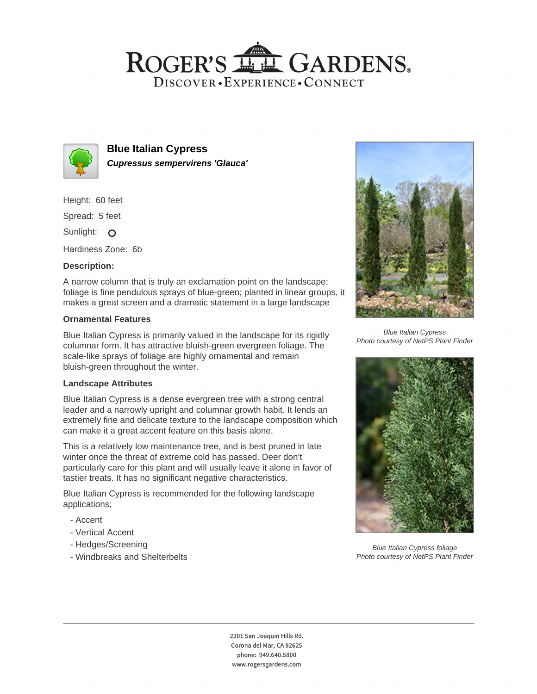## ROGER'S LL GARDENS. DISCOVER · EXPERIENCE · CONNECT



**Blue Italian Cypress Cupressus sempervirens 'Glauca'**

Height: 60 feet

Spread: 5 feet

Sunlight: O

Hardiness Zone: 6b

### **Description:**

A narrow column that is truly an exclamation point on the landscape; foliage is fine pendulous sprays of blue-green; planted in linear groups, it makes a great screen and a dramatic statement in a large landscape

### **Ornamental Features**

Blue Italian Cypress is primarily valued in the landscape for its rigidly columnar form. It has attractive bluish-green evergreen foliage. The scale-like sprays of foliage are highly ornamental and remain bluish-green throughout the winter.

### **Landscape Attributes**

Blue Italian Cypress is a dense evergreen tree with a strong central leader and a narrowly upright and columnar growth habit. It lends an extremely fine and delicate texture to the landscape composition which can make it a great accent feature on this basis alone.

This is a relatively low maintenance tree, and is best pruned in late winter once the threat of extreme cold has passed. Deer don't particularly care for this plant and will usually leave it alone in favor of tastier treats. It has no significant negative characteristics.

Blue Italian Cypress is recommended for the following landscape applications;

- Accent
- Vertical Accent
- Hedges/Screening
- Windbreaks and Shelterbelts



Blue Italian Cypress Photo courtesy of NetPS Plant Finder



Blue Italian Cypress foliage Photo courtesy of NetPS Plant Finder